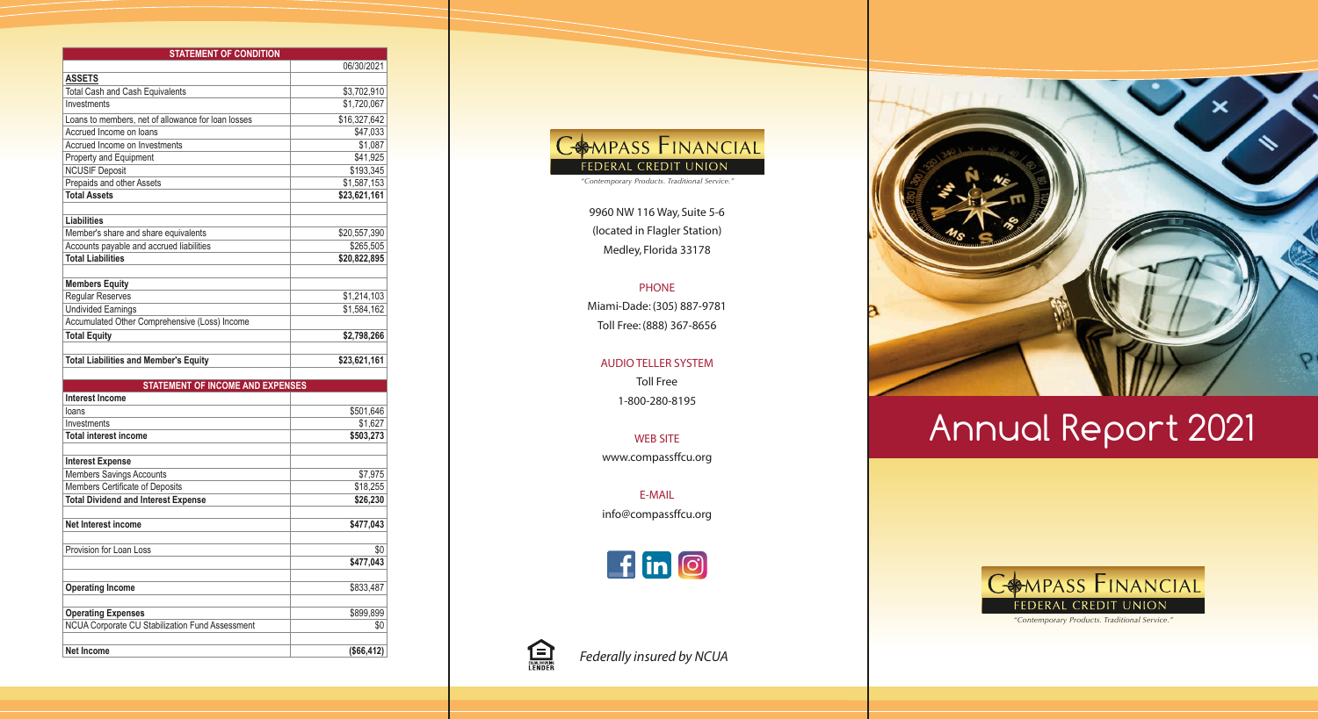*"Contemporary Products. Traditional Service."*

| <b>STATEMENT OF CONDITION</b>                                        |              |
|----------------------------------------------------------------------|--------------|
|                                                                      | 06/30/2021   |
| <b>ASSETS</b>                                                        |              |
| <b>Total Cash and Cash Equivalents</b>                               | \$3,702,910  |
| Investments                                                          | \$1,720,067  |
| Loans to members, net of allowance for loan losses                   | \$16,327,642 |
| Accrued Income on loans                                              | \$47,033     |
| Accrued Income on Investments                                        | \$1,087      |
| Property and Equipment                                               | \$41,925     |
| <b>NCUSIF Deposit</b>                                                | \$193,345    |
| Prepaids and other Assets                                            | \$1,587,153  |
| <b>Total Assets</b>                                                  | \$23,621,161 |
| <b>Liabilities</b>                                                   |              |
|                                                                      |              |
| Member's share and share equivalents                                 | \$20,557,390 |
| Accounts payable and accrued liabilities<br><b>Total Liabilities</b> | \$265,505    |
|                                                                      | \$20,822,895 |
| <b>Members Equity</b>                                                |              |
| Regular Reserves                                                     | \$1,214,103  |
| <b>Undivided Earnings</b>                                            | \$1,584,162  |
| Accumulated Other Comprehensive (Loss) Income                        |              |
| <b>Total Equity</b>                                                  | \$2,798,266  |
|                                                                      |              |
| <b>Total Liabilities and Member's Equity</b>                         | \$23,621,161 |
| <b>STATEMENT OF INCOME AND EXPENSES</b>                              |              |
| <b>Interest Income</b>                                               |              |
| loans                                                                | \$501,646    |
| Investments                                                          | \$1,627      |
| <b>Total interest income</b>                                         | \$503,273    |
|                                                                      |              |
| <b>Interest Expense</b>                                              |              |
| Members Savings Accounts                                             | \$7,975      |
| Members Certificate of Deposits                                      | \$18,255     |
| <b>Total Dividend and Interest Expense</b>                           | \$26,230     |
| <b>Net Interest income</b>                                           |              |
|                                                                      | \$477,043    |
| Provision for Loan Loss                                              | \$0          |
|                                                                      | \$477,043    |
|                                                                      |              |
| <b>Operating Income</b>                                              | \$833,487    |
| <b>Operating Expenses</b>                                            | \$899,899    |
| NCUA Corporate CU Stabilization Fund Assessment                      | \$0          |
|                                                                      |              |
| Net Income                                                           | (\$66,412)   |

#### COMPASS FINANCIAL **FEDERAL CREDIT UNION**

*"Contemporary Products. Traditional Service."*

9960 NW 116 Way, Suite 5-6 (located in Flagler Station) Medley, Florida 33178

#### PHONE

Miami-Dade: (305) 887-9781 Toll Free: (888) 367-8656

#### AUDIO TELLER SYSTEM

Toll Free 1-800-280-8195

WEB SITE www.compassffcu.org

E-MAIL info@compassffcu.org





*Federally insured by NCUA*



# Annual Report 2021